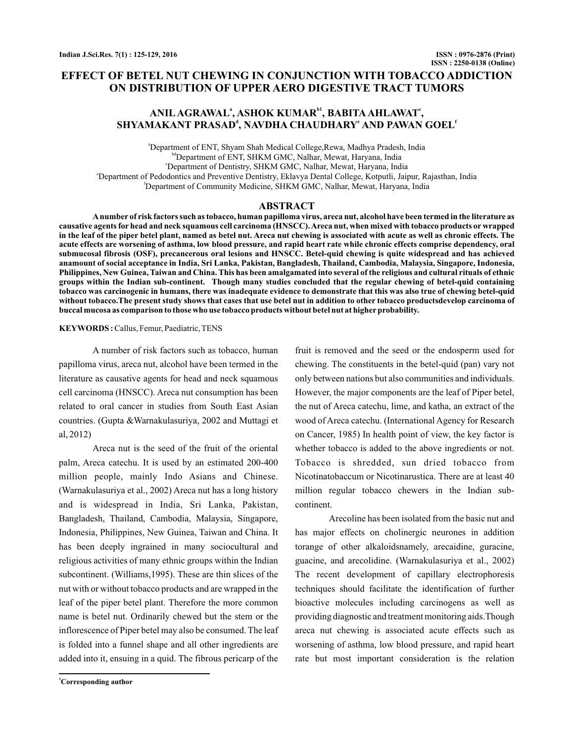# **EFFECT OF BETEL NUT CHEWING IN CONJUNCTION WITH TOBACCO ADDICTION ON DISTRIBUTION OF UPPER AERO DIGESTIVE TRACT TUMORS**

# $\mathbf{A}\mathbf{NIL}\,\mathbf{AGRAWAL}^{*}, \mathbf{ASHOK}\,\mathbf{KUMAR}^{b1}, \mathbf{BABITA}\,\mathbf{AHLAWAT}^{*},$  $\mathbf{SHYAMAKANT \; PRASAD}^{\mathbf{d}}, \mathbf{NAVDHA \; CHAUDHARY}^{\mathbf{e}} \mathbf{AND} \mathbf{PAWAN} \; \mathbf{GOEL}^{\mathbf{f}}$

a Department of ENT, Shyam Shah Medical College,Rewa, Madhya Pradesh, India bdDepartment of ENT, SHKM GMC, Nalhar, Mewat, Haryana, India c Department of Dentistry, SHKM GMC, Nalhar, Mewat, Haryana, India e Department of Pedodontics and Preventive Dentistry, Eklavya Dental College, Kotputli, Jaipur, Rajasthan, India f Department of Community Medicine, SHKM GMC, Nalhar, Mewat, Haryana, India

## **ABSTRACT**

**Anumber of risk factors such as tobacco, human papilloma virus, areca nut, alcohol have been termed in the literature as causative agents for head and neck squamous cell carcinoma (HNSCC).Areca nut, when mixed with tobacco products or wrapped in the leaf of the piper betel plant, named as betel nut. Areca nut chewing is associated with acute as well as chronic effects. The acute effects are worsening of asthma, low blood pressure, and rapid heart rate while chronic effects comprise dependency, oral submucosal fibrosis (OSF), precancerous oral lesions and HNSCC. Betel-quid chewing is quite widespread and has achieved anamount of social acceptance in India, Sri Lanka, Pakistan, Bangladesh, Thailand, Cambodia, Malaysia, Singapore, Indonesia, Philippines, New Guinea, Taiwan and China. This has been amalgamated into several of the religious and cultural rituals of ethnic groups within the Indian sub-continent. Though many studies concluded that the regular chewing of betel-quid containing tobacco was carcinogenic in humans, there was inadequate evidence to demonstrate that this was also true of chewing betel-quid without tobacco.The present study shows that cases that use betel nut in addition to other tobacco productsdevelop carcinoma of buccal mucosa as comparison to those who use tobacco products without betel nut at higher probability.**

#### **KEYWORDS :**Callus, Femur, Paediatric, TENS

A number of risk factors such as tobacco, human papilloma virus, areca nut, alcohol have been termed in the literature as causative agents for head and neck squamous cell carcinoma (HNSCC). Areca nut consumption has been related to oral cancer in studies from South East Asian countries. (Gupta &Warnakulasuriya, 2002 and Muttagi et al, 2012)

Areca nut is the seed of the fruit of the oriental palm, Areca catechu. It is used by an estimated 200-400 million people, mainly Indo Asians and Chinese. (Warnakulasuriya et al., 2002) Areca nut has a long history and is widespread in India, Sri Lanka, Pakistan, Bangladesh, Thailand, Cambodia, Malaysia, Singapore, Indonesia, Philippines, New Guinea, Taiwan and China. It has been deeply ingrained in many sociocultural and religious activities of many ethnic groups within the Indian subcontinent. (Williams,1995). These are thin slices of the nut with or without tobacco products and are wrapped in the leaf of the piper betel plant. Therefore the more common name is betel nut. Ordinarily chewed but the stem or the inflorescence of Piper betel may also be consumed. The leaf is folded into a funnel shape and all other ingredients are added into it, ensuing in a quid. The fibrous pericarp of the

**<sup>1</sup>Corresponding author**

fruit is removed and the seed or the endosperm used for chewing. The constituents in the betel-quid (pan) vary not only between nations but also communities and individuals. However, the major components are the leaf of Piper betel, the nut of Areca catechu, lime, and katha, an extract of the wood of Areca catechu. (International Agency for Research on Cancer, 1985) In health point of view, the key factor is whether tobacco is added to the above ingredients or not. Tobacco is shredded, sun dried tobacco from Nicotinatobaccum or Nicotinarustica. There are at least 40 million regular tobacco chewers in the Indian subcontinent.

Arecoline has been isolated from the basic nut and has major effects on cholinergic neurones in addition torange of other alkaloidsnamely, arecaidine, guracine, guacine, and arecolidine. (Warnakulasuriya et al., 2002) The recent development of capillary electrophoresis techniques should facilitate the identification of further bioactive molecules including carcinogens as well as providing diagnostic and treatment monitoring aids.Though areca nut chewing is associated acute effects such as worsening of asthma, low blood pressure, and rapid heart rate but most important consideration is the relation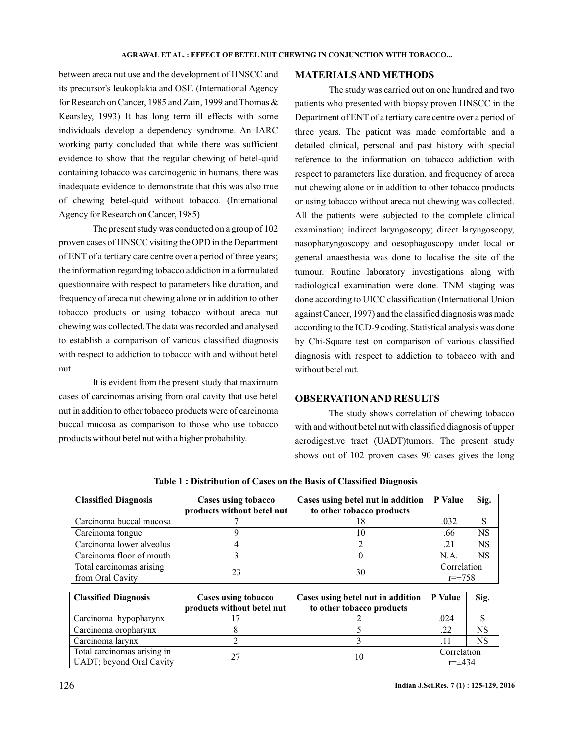between areca nut use and the development of HNSCC and its precursor's leukoplakia and OSF. (International Agency for Research on Cancer, 1985 and Zain, 1999 and Thomas & Kearsley, 1993) It has long term ill effects with some individuals develop a dependency syndrome. An IARC working party concluded that while there was sufficient evidence to show that the regular chewing of betel-quid containing tobacco was carcinogenic in humans, there was inadequate evidence to demonstrate that this was also true of chewing betel-quid without tobacco. (International Agency for Research on Cancer, 1985)

The present study was conducted on a group of 102 proven cases of HNSCC visiting the OPD in the Department of ENT of a tertiary care centre over a period of three years; the information regarding tobacco addiction in a formulated questionnaire with respect to parameters like duration, and frequency of areca nut chewing alone or in addition to other tobacco products or using tobacco without areca nut chewing was collected. The data was recorded and analysed to establish a comparison of various classified diagnosis with respect to addiction to tobacco with and without betel nut.

It is evident from the present study that maximum cases of carcinomas arising from oral cavity that use betel nut in addition to other tobacco products were of carcinoma buccal mucosa as comparison to those who use tobacco products without betel nut with a higher probability.

### **MATERIALSAND METHODS**

The study was carried out on one hundred and two patients who presented with biopsy proven HNSCC in the Department of ENT of a tertiary care centre over a period of three years. The patient was made comfortable and a detailed clinical, personal and past history with special reference to the information on tobacco addiction with respect to parameters like duration, and frequency of areca nut chewing alone or in addition to other tobacco products or using tobacco without areca nut chewing was collected. All the patients were subjected to the complete clinical examination; indirect laryngoscopy; direct laryngoscopy, nasopharyngoscopy and oesophagoscopy under local or general anaesthesia was done to localise the site of the tumour. Routine laboratory investigations along with radiological examination were done. TNM staging was done according to UICC classification (International Union against Cancer, 1997) and the classified diagnosis was made according to the ICD-9 coding. Statistical analysis was done by Chi-Square test on comparison of various classified diagnosis with respect to addiction to tobacco with and without betel nut.

### **OBSERVATIONAND RESULTS**

The study shows correlation of chewing tobacco with and without betel nut with classified diagnosis of upper aerodigestive tract (UADT)tumors. The present study shows out of 102 proven cases 90 cases gives the long

| <b>Classified Diagnosis</b> | Cases using tobacco        | Cases using betel nut in addition                                                                                                                                                                                                                                                                                                                                                                      | P Value        | Sig.      |
|-----------------------------|----------------------------|--------------------------------------------------------------------------------------------------------------------------------------------------------------------------------------------------------------------------------------------------------------------------------------------------------------------------------------------------------------------------------------------------------|----------------|-----------|
|                             | products without betel nut | to other tobacco products                                                                                                                                                                                                                                                                                                                                                                              |                |           |
| Carcinoma buccal mucosa     |                            | 18                                                                                                                                                                                                                                                                                                                                                                                                     | .032           | S         |
| Carcinoma tongue            | 9                          | 10                                                                                                                                                                                                                                                                                                                                                                                                     | .66            | <b>NS</b> |
| Carcinoma lower alveolus    |                            | $\mathfrak{D}_{1}^{(1)}=\mathfrak{D}_{2}^{(2)}=\mathfrak{D}_{2}^{(1)}=\mathfrak{D}_{2}^{(1)}=\mathfrak{D}_{2}^{(1)}=\mathfrak{D}_{2}^{(1)}=\mathfrak{D}_{2}^{(1)}=\mathfrak{D}_{2}^{(1)}=\mathfrak{D}_{2}^{(1)}=\mathfrak{D}_{2}^{(1)}=\mathfrak{D}_{2}^{(1)}=\mathfrak{D}_{2}^{(1)}=\mathfrak{D}_{2}^{(1)}=\mathfrak{D}_{2}^{(1)}=\mathfrak{D}_{2}^{(1)}=\mathfrak{D}_{2}^{(1)}=\mathfrak{D}_{2}^{(1$ | .21            | <b>NS</b> |
| Carcinoma floor of mouth    | 3                          | $\theta$                                                                                                                                                                                                                                                                                                                                                                                               | N.A.           | <b>NS</b> |
| Total carcinomas arising    | 23<br>30                   | Correlation                                                                                                                                                                                                                                                                                                                                                                                            |                |           |
| from Oral Cavity            |                            |                                                                                                                                                                                                                                                                                                                                                                                                        | $r = \pm 758$  |           |
|                             |                            |                                                                                                                                                                                                                                                                                                                                                                                                        |                |           |
| <b>Classified Diagnosis</b> | Cases using tobacco        | Cases using betel nut in addition                                                                                                                                                                                                                                                                                                                                                                      | <b>P</b> Value | Sig.      |
|                             | products without betel nut | to other tobacco products                                                                                                                                                                                                                                                                                                                                                                              |                |           |
| Carcinoma hypopharynx       |                            |                                                                                                                                                                                                                                                                                                                                                                                                        | .024           | S         |
| Carcinoma oropharynx        |                            |                                                                                                                                                                                                                                                                                                                                                                                                        | .22            | <b>NS</b> |
| Carcinoma larynx            |                            | 3                                                                                                                                                                                                                                                                                                                                                                                                      | .11            | <b>NS</b> |
| Total carcinomas arising in | 27                         | 10                                                                                                                                                                                                                                                                                                                                                                                                     | Correlation    |           |
| UADT; beyond Oral Cavity    |                            |                                                                                                                                                                                                                                                                                                                                                                                                        | $r = \pm 434$  |           |

**Table 1 : Distribution of Cases on the Basis of Classified Diagnosis**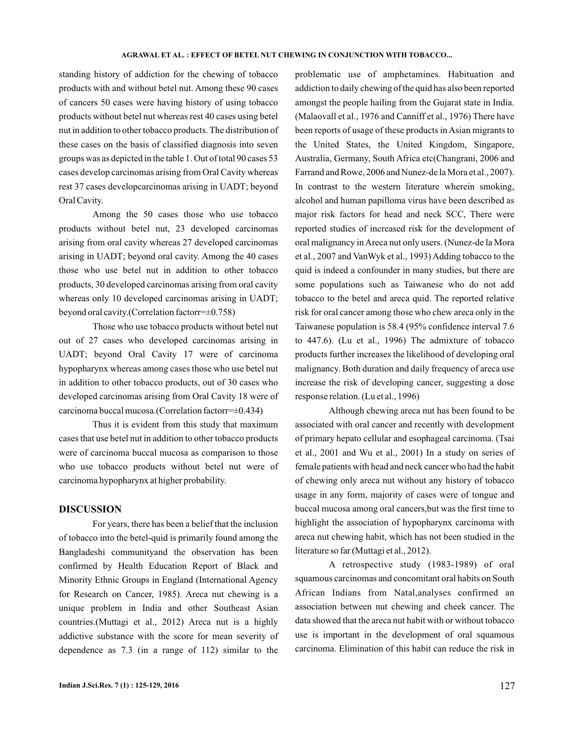standing history of addiction for the chewing of tobacco products with and without betel nut. Among these 90 cases of cancers 50 cases were having history of using tobacco products without betel nut whereas rest 40 cases using betel nut in addition to other tobacco products. The distribution of these cases on the basis of classified diagnosis into seven groups was as depicted in the table 1. Out of total 90 cases 53 cases develop carcinomas arising from Oral Cavity whereas rest 37 cases developcarcinomas arising in UADT; beyond Oral Cavity.

Among the 50 cases those who use tobacco products without betel nut, 23 developed carcinomas arising from oral cavity whereas 27 developed carcinomas arising in UADT; beyond oral cavity. Among the 40 cases those who use betel nut in addition to other tobacco products, 30 developed carcinomas arising from oral cavity whereas only 10 developed carcinomas arising in UADT; beyond oral cavity.(Correlation factorr=±0.758)

Those who use tobacco products without betel nut out of 27 cases who developed carcinomas arising in UADT; beyond Oral Cavity 17 were of carcinoma hypopharynx whereas among cases those who use betel nut in addition to other tobacco products, out of 30 cases who developed carcinomas arising from Oral Cavity 18 were of carcinoma buccal mucosa.(Correlation factorr=±0.434)

Thus it is evident from this study that maximum cases that use betel nut in addition to other tobacco products were of carcinoma buccal mucosa as comparison to those who use tobacco products without betel nut were of carcinoma hypopharynx at higher probability.

## **DISCUSSION**

For years, there has been a belief that the inclusion of tobacco into the betel-quid is primarily found among the Bangladeshi communityand the observation has been confirmed by Health Education Report of Black and Minority Ethnic Groups in England (International Agency for Research on Cancer, 1985). Areca nut chewing is a unique problem in India and other Southeast Asian countries.(Muttagi et al., 2012) Areca nut is a highly addictive substance with the score for mean severity of dependence as 7.3 (in a range of 112) similar to the

problematic use of amphetamines. Habituation and addiction to daily chewing of the quid has also been reported amongst the people hailing from the Gujarat state in India. (Malaovall et al., 1976 and Canniff et al., 1976) There have been reports of usage of these products in Asian migrants to the United States, the United Kingdom, Singapore, Australia, Germany, South Africa etc(Changrani, 2006 and Farrand and Rowe, 2006 and Nunez-de la Mora et al., 2007). In contrast to the western literature wherein smoking, alcohol and human papilloma virus have been described as major risk factors for head and neck SCC, There were reported studies of increased risk for the development of oral malignancy in Areca nut only users. (Nunez-de la Mora et al., 2007 and VanWyk et al., 1993) Adding tobacco to the quid is indeed a confounder in many studies, but there are some populations such as Taiwanese who do not add tobacco to the betel and areca quid. The reported relative risk for oral cancer among those who chew areca only in the Taiwanese population is 58.4 (95% confidence interval 7.6 to 447.6). (Lu et al., 1996) The admixture of tobacco products further increases the likelihood of developing oral malignancy. Both duration and daily frequency of areca use increase the risk of developing cancer, suggesting a dose response relation. (Lu et al., 1996)

Although chewing areca nut has been found to be associated with oral cancer and recently with development of primary hepato cellular and esophageal carcinoma. (Tsai et al., 2001 and Wu et al., 2001) In a study on series of female patients with head and neck cancer who had the habit of chewing only areca nut without any history of tobacco usage in any form, majority of cases were of tongue and buccal mucosa among oral cancers,but was the first time to highlight the association of hypopharynx carcinoma with areca nut chewing habit, which has not been studied in the literature so far (Muttagi et al., 2012).

A retrospective study (1983-1989) of oral squamous carcinomas and concomitant oral habits on South African Indians from Natal,analyses confirmed an association between nut chewing and cheek cancer. The data showed that the areca nut habit with or without tobacco use is important in the development of oral squamous carcinoma. Elimination of this habit can reduce the risk in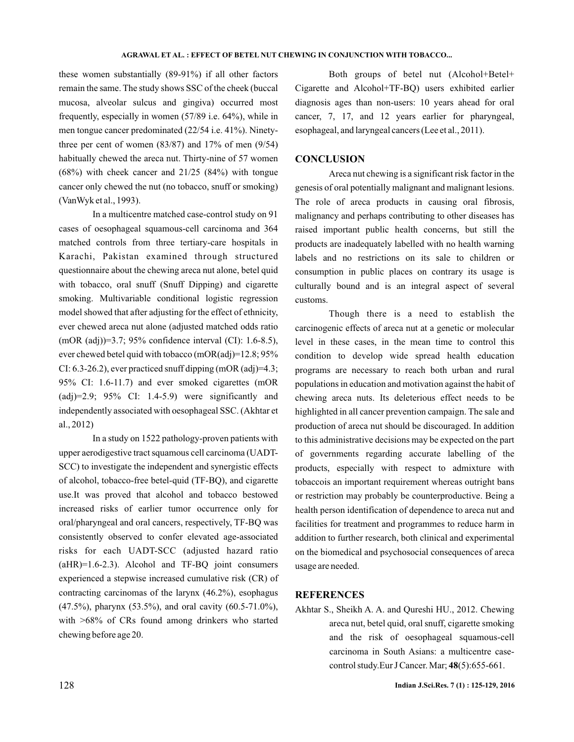these women substantially (89-91%) if all other factors remain the same. The study shows SSC of the cheek (buccal mucosa, alveolar sulcus and gingiva) occurred most frequently, especially in women (57/89 i.e. 64%), while in men tongue cancer predominated (22/54 i.e. 41%). Ninetythree per cent of women  $(83/87)$  and  $17%$  of men  $(9/54)$ habitually chewed the areca nut. Thirty-nine of 57 women (68%) with cheek cancer and 21/25 (84%) with tongue cancer only chewed the nut (no tobacco, snuff or smoking) (VanWyk et al., 1993).

In a multicentre matched case-control study on 91 cases of oesophageal squamous-cell carcinoma and 364 matched controls from three tertiary-care hospitals in Karachi, Pakistan examined through structured questionnaire about the chewing areca nut alone, betel quid with tobacco, oral snuff (Snuff Dipping) and cigarette smoking. Multivariable conditional logistic regression model showed that after adjusting for the effect of ethnicity, ever chewed areca nut alone (adjusted matched odds ratio (mOR (adj))=3.7; 95% confidence interval (CI): 1.6-8.5), ever chewed betel quid with tobacco (mOR(adj)=12.8; 95% CI: 6.3-26.2), ever practiced snuff dipping  $(mOR (adj)=4.3;$ 95% CI: 1.6-11.7) and ever smoked cigarettes (mOR  $(adj)=2.9; 95\% \text{ CI: } 1.4-5.9 \text{ were significantly and}$ independently associated with oesophageal SSC. (Akhtar et al., 2012)

In a study on 1522 pathology-proven patients with upper aerodigestive tract squamous cell carcinoma (UADT-SCC) to investigate the independent and synergistic effects of alcohol, tobacco-free betel-quid (TF-BQ), and cigarette use.It was proved that alcohol and tobacco bestowed increased risks of earlier tumor occurrence only for oral/pharyngeal and oral cancers, respectively, TF-BQ was consistently observed to confer elevated age-associated risks for each UADT-SCC (adjusted hazard ratio (aHR)=1.6-2.3). Alcohol and TF-BQ joint consumers experienced a stepwise increased cumulative risk (CR) of contracting carcinomas of the larynx (46.2%), esophagus (47.5%), pharynx (53.5%), and oral cavity (60.5-71.0%), with >68% of CRs found among drinkers who started chewing before age 20.

Both groups of betel nut (Alcohol+Betel+ Cigarette and Alcohol+TF-BQ) users exhibited earlier diagnosis ages than non-users: 10 years ahead for oral cancer, 7, 17, and 12 years earlier for pharyngeal, esophageal, and laryngeal cancers (Lee et al., 2011).

## **CONCLUSION**

Areca nut chewing is a significant risk factor in the genesis of oral potentially malignant and malignant lesions. The role of areca products in causing oral fibrosis, malignancy and perhaps contributing to other diseases has raised important public health concerns, but still the products are inadequately labelled with no health warning labels and no restrictions on its sale to children or consumption in public places on contrary its usage is culturally bound and is an integral aspect of several customs.

Though there is a need to establish the carcinogenic effects of areca nut at a genetic or molecular level in these cases, in the mean time to control this condition to develop wide spread health education programs are necessary to reach both urban and rural populations in education and motivation against the habit of chewing areca nuts. Its deleterious effect needs to be highlighted in all cancer prevention campaign. The sale and production of areca nut should be discouraged. In addition to this administrative decisions may be expected on the part of governments regarding accurate labelling of the products, especially with respect to admixture with tobaccois an important requirement whereas outright bans or restriction may probably be counterproductive. Being a health person identification of dependence to areca nut and facilities for treatment and programmes to reduce harm in addition to further research, both clinical and experimental on the biomedical and psychosocial consequences of areca usage are needed.

## **REFERENCES**

Akhtar S., Sheikh A. A. and Qureshi HU., 2012. Chewing areca nut, betel quid, oral snuff, cigarette smoking and the risk of oesophageal squamous-cell carcinoma in South Asians: a multicentre casecontrol study.Eur J Cancer. Mar; 48(5):655-661.